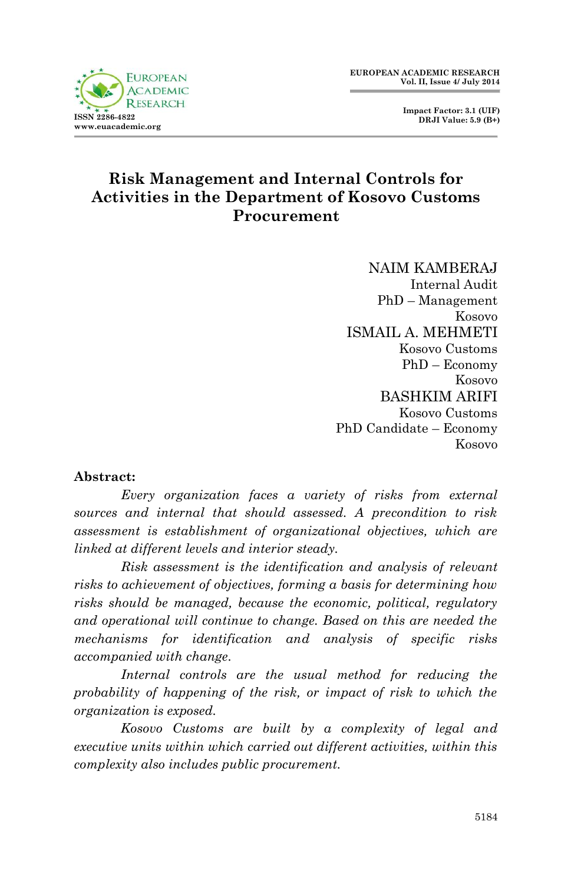

## **Risk Management and Internal Controls for Activities in the Department of Kosovo Customs Procurement**

NAIM KAMBERAJ Internal Audit PhD – Management Kosovo ISMAIL A. MEHMETI Kosovo Customs PhD – Economy Kosovo BASHKIM ARIFI Kosovo Customs PhD Candidate – Economy Kosovo

#### **Abstract:**

*Every organization faces a variety of risks from external sources and internal that should assessed. A precondition to risk assessment is establishment of organizational objectives, which are linked at different levels and interior steady.*

*Risk assessment is the identification and analysis of relevant risks to achievement of objectives, forming a basis for determining how risks should be managed, because the economic, political, regulatory and operational will continue to change. Based on this are needed the mechanisms for identification and analysis of specific risks accompanied with change.*

*Internal controls are the usual method for reducing the probability of happening of the risk, or impact of risk to which the organization is exposed.*

*Kosovo Customs are built by a complexity of legal and executive units within which carried out different activities, within this complexity also includes public procurement.*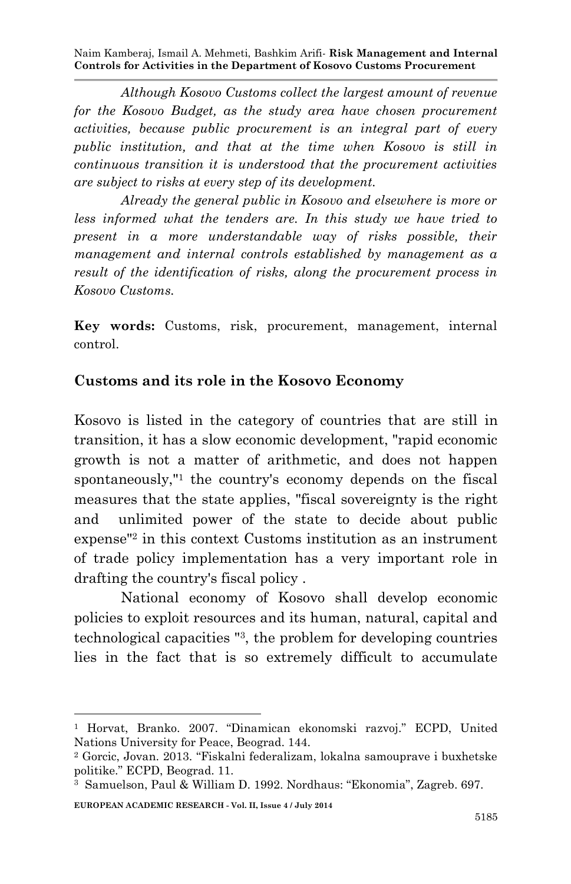*Although Kosovo Customs collect the largest amount of revenue for the Kosovo Budget, as the study area have chosen procurement activities, because public procurement is an integral part of every public institution, and that at the time when Kosovo is still in continuous transition it is understood that the procurement activities are subject to risks at every step of its development.*

*Already the general public in Kosovo and elsewhere is more or less informed what the tenders are. In this study we have tried to present in a more understandable way of risks possible, their management and internal controls established by management as a result of the identification of risks, along the procurement process in Kosovo Customs.* 

**Key words:** Customs, risk, procurement, management, internal control.

#### **Customs and its role in the Kosovo Economy**

Kosovo is listed in the category of countries that are still in transition, it has a slow economic development, "rapid economic growth is not a matter of arithmetic, and does not happen spontaneously,"<sup>1</sup> the country's economy depends on the fiscal measures that the state applies, "fiscal sovereignty is the right and unlimited power of the state to decide about public expense"<sup>2</sup> in this context Customs institution as an instrument of trade policy implementation has a very important role in drafting the country's fiscal policy .

National economy of Kosovo shall develop economic policies to exploit resources and its human, natural, capital and technological capacities "<sup>3</sup> , the problem for developing countries lies in the fact that is so extremely difficult to accumulate

**EUROPEAN ACADEMIC RESEARCH - Vol. II, Issue 4 / July 2014**

**<sup>.</sup>** <sup>1</sup> Horvat, Branko. 2007. "Dinamican ekonomski razvoj." ECPD, United Nations University for Peace, Beograd. 144.

<sup>2</sup> Gorcic, Jovan. 2013. "Fiskalni federalizam, lokalna samouprave i buxhetske politike." ECPD, Beograd. 11.

<sup>3</sup> Samuelson, Paul & William D. 1992. Nordhaus: "Ekonomia", Zagreb. 697.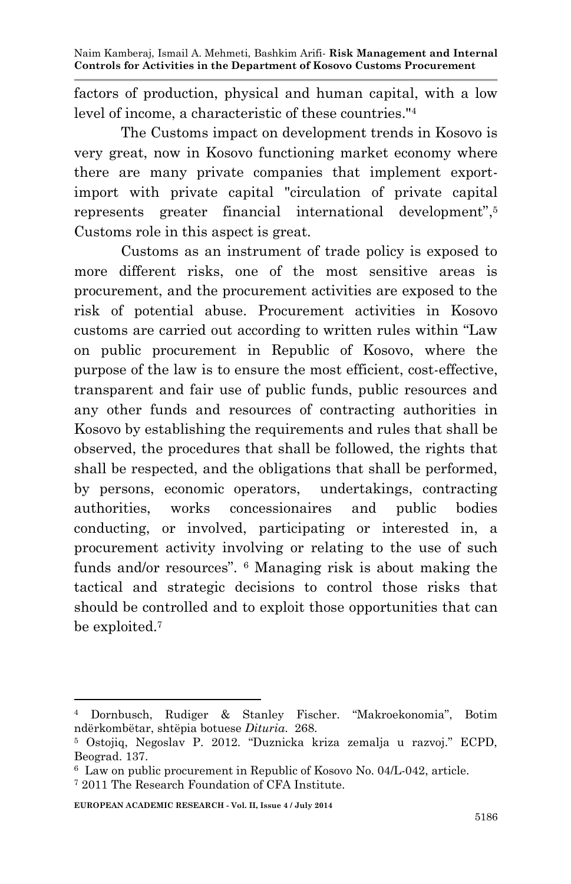factors of production, physical and human capital, with a low level of income, a characteristic of these countries."<sup>4</sup>

The Customs impact on development trends in Kosovo is very great, now in Kosovo functioning market economy where there are many private companies that implement exportimport with private capital "circulation of private capital represents greater financial international development", 5 Customs role in this aspect is great.

Customs as an instrument of trade policy is exposed to more different risks, one of the most sensitive areas is procurement, and the procurement activities are exposed to the risk of potential abuse. Procurement activities in Kosovo customs are carried out according to written rules within "Law on public procurement in Republic of Kosovo, where the purpose of the law is to ensure the most efficient, cost-effective, transparent and fair use of public funds, public resources and any other funds and resources of contracting authorities in Kosovo by establishing the requirements and rules that shall be observed, the procedures that shall be followed, the rights that shall be respected, and the obligations that shall be performed, by persons, economic operators, undertakings, contracting authorities, works concessionaires and public bodies conducting, or involved, participating or interested in, a procurement activity involving or relating to the use of such funds and/or resources". <sup>6</sup> Managing risk is about making the tactical and strategic decisions to control those risks that should be controlled and to exploit those opportunities that can be exploited.<sup>7</sup>

**.** 

<sup>4</sup> Dornbusch, Rudiger & Stanley Fischer. "Makroekonomia", Botim ndërkombëtar, shtëpia botuese *Dituria*. 268.

<sup>5</sup> Ostojiq, Negoslav P. 2012. "Duznicka kriza zemalja u razvoj." ECPD, Beograd. 137.

<sup>6</sup> Law on public procurement in Republic of Kosovo No. 04/L-042, article.

<sup>7</sup> 2011 The Research Foundation of CFA Institute.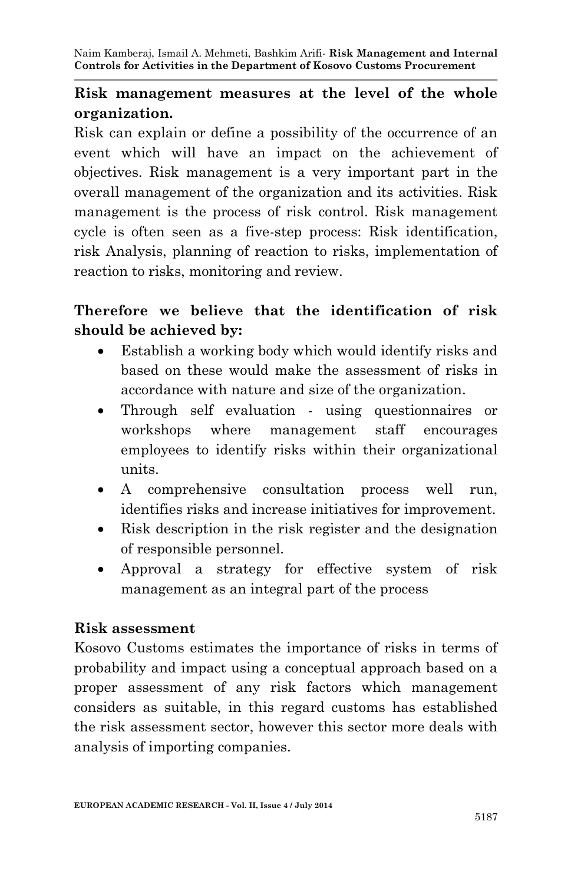## **Risk management measures at the level of the whole organization.**

Risk can explain or define a possibility of the occurrence of an event which will have an impact on the achievement of objectives. Risk management is a very important part in the overall management of the organization and its activities. Risk management is the process of risk control. Risk management cycle is often seen as a five-step process: Risk identification, risk Analysis, planning of reaction to risks, implementation of reaction to risks, monitoring and review.

## **Therefore we believe that the identification of risk should be achieved by:**

- Establish a working body which would identify risks and based on these would make the assessment of risks in accordance with nature and size of the organization.
- Through self evaluation using questionnaires or workshops where management staff encourages employees to identify risks within their organizational units.
- A comprehensive consultation process well run, identifies risks and increase initiatives for improvement.
- Risk description in the risk register and the designation of responsible personnel.
- Approval a strategy for effective system of risk management as an integral part of the process

## **Risk assessment**

Kosovo Customs estimates the importance of risks in terms of probability and impact using a conceptual approach based on a proper assessment of any risk factors which management considers as suitable, in this regard customs has established the risk assessment sector, however this sector more deals with analysis of importing companies.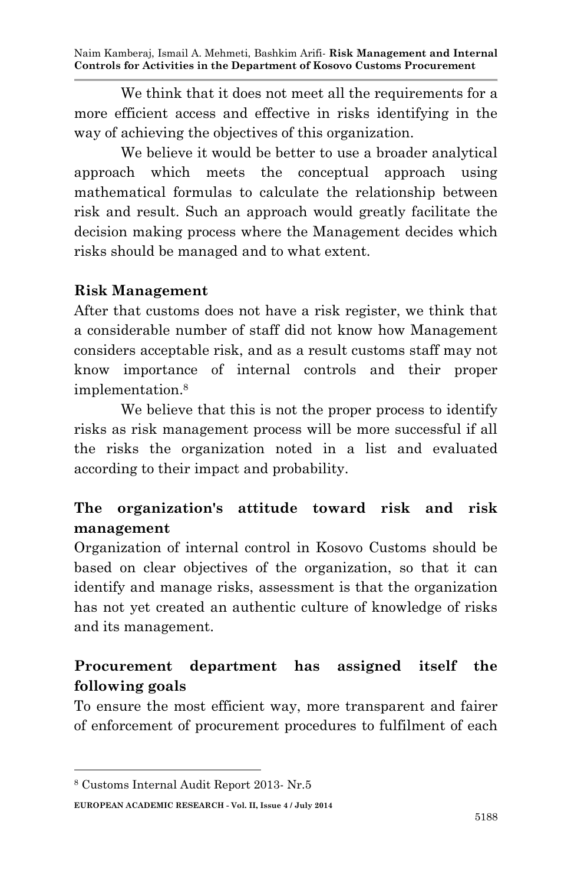We think that it does not meet all the requirements for a more efficient access and effective in risks identifying in the way of achieving the objectives of this organization.

We believe it would be better to use a broader analytical approach which meets the conceptual approach using mathematical formulas to calculate the relationship between risk and result. Such an approach would greatly facilitate the decision making process where the Management decides which risks should be managed and to what extent.

#### **Risk Management**

After that customs does not have a risk register, we think that a considerable number of staff did not know how Management considers acceptable risk, and as a result customs staff may not know importance of internal controls and their proper implementation.<sup>8</sup>

We believe that this is not the proper process to identify risks as risk management process will be more successful if all the risks the organization noted in a list and evaluated according to their impact and probability.

# **The organization's attitude toward risk and risk management**

Organization of internal control in Kosovo Customs should be based on clear objectives of the organization, so that it can identify and manage risks, assessment is that the organization has not yet created an authentic culture of knowledge of risks and its management.

# **Procurement department has assigned itself the following goals**

To ensure the most efficient way, more transparent and fairer of enforcement of procurement procedures to fulfilment of each

**.** 

<sup>8</sup> Customs Internal Audit Report 2013- Nr.5

**EUROPEAN ACADEMIC RESEARCH - Vol. II, Issue 4 / July 2014**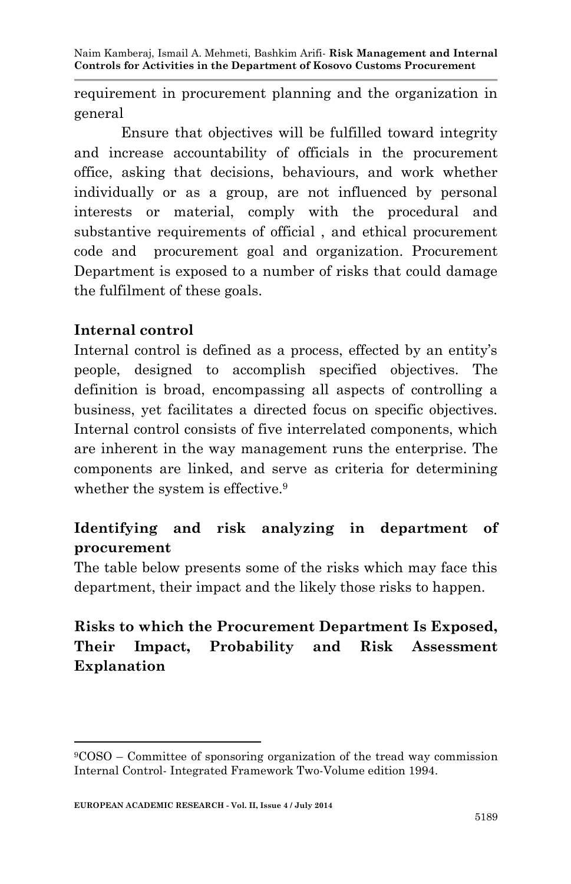requirement in procurement planning and the organization in general

Ensure that objectives will be fulfilled toward integrity and increase accountability of officials in the procurement office, asking that decisions, behaviours, and work whether individually or as a group, are not influenced by personal interests or material, comply with the procedural and substantive requirements of official , and ethical procurement code and procurement goal and organization. Procurement Department is exposed to a number of risks that could damage the fulfilment of these goals.

### **Internal control**

1

Internal control is defined as a process, effected by an entity's people, designed to accomplish specified objectives. The definition is broad, encompassing all aspects of controlling a business, yet facilitates a directed focus on specific objectives. Internal control consists of five interrelated components, which are inherent in the way management runs the enterprise. The components are linked, and serve as criteria for determining whether the system is effective.<sup>9</sup>

# **Identifying and risk analyzing in department of procurement**

The table below presents some of the risks which may face this department, their impact and the likely those risks to happen.

# **Risks to which the Procurement Department Is Exposed, Their Impact, Probability and Risk Assessment Explanation**

<sup>9</sup>COSO – Committee of sponsoring organization of the tread way commission Internal Control- Integrated Framework Two-Volume edition 1994.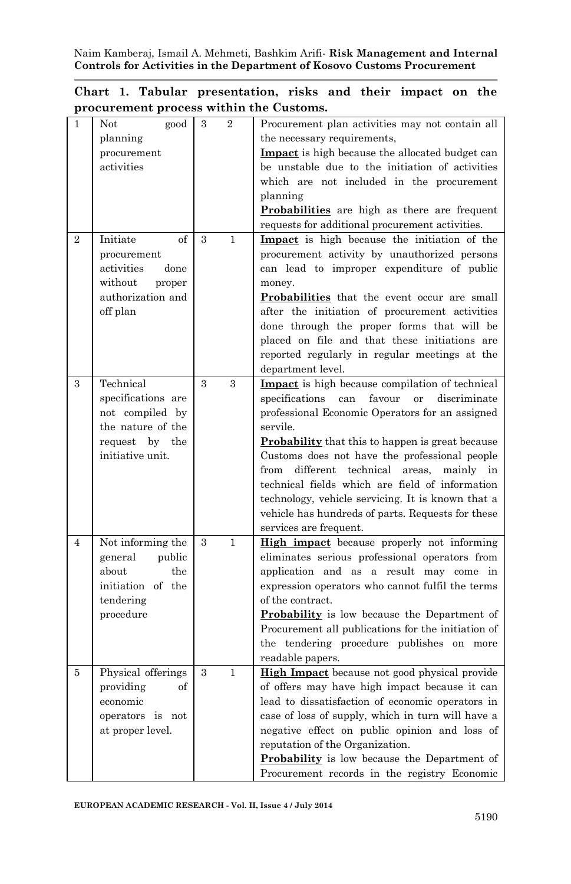į

|  | Chart 1. Tabular presentation, risks and their impact on the |  |  |  |
|--|--------------------------------------------------------------|--|--|--|
|  | procurement process within the Customs.                      |  |  |  |

| $\mathbf{1}$   | Not<br>good        | 3             | $\overline{2}$ | Procurement plan activities may not contain all                                             |
|----------------|--------------------|---------------|----------------|---------------------------------------------------------------------------------------------|
|                | planning           |               |                | the necessary requirements,                                                                 |
|                | procurement        |               |                | <b>Impact</b> is high because the allocated budget can                                      |
|                | activities         |               |                | be unstable due to the initiation of activities                                             |
|                |                    |               |                | which are not included in the procurement                                                   |
|                |                    |               |                | planning                                                                                    |
|                |                    |               |                | Probabilities are high as there are frequent                                                |
|                |                    |               |                | requests for additional procurement activities.                                             |
| $\overline{2}$ | of<br>Initiate     | 3             | $\mathbf{1}$   | Impact is high because the initiation of the                                                |
|                | procurement        |               |                | procurement activity by unauthorized persons                                                |
|                | activities<br>done |               |                | can lead to improper expenditure of public                                                  |
|                | without<br>proper  |               |                | money.                                                                                      |
|                | authorization and  |               |                | <b>Probabilities</b> that the event occur are small                                         |
|                | off plan           |               |                | after the initiation of procurement activities                                              |
|                |                    |               |                |                                                                                             |
|                |                    |               |                | done through the proper forms that will be<br>placed on file and that these initiations are |
|                |                    |               |                |                                                                                             |
|                |                    |               |                | reported regularly in regular meetings at the                                               |
|                |                    |               |                | department level.                                                                           |
| 3              | Technical          | $\mathcal{S}$ | 3              | Impact is high because compilation of technical                                             |
|                | specifications are |               |                | specifications<br>can<br>favour<br><sub>or</sub><br>discriminate                            |
|                | not compiled by    |               |                | professional Economic Operators for an assigned                                             |
|                | the nature of the  |               |                | servile.                                                                                    |
|                | request by the     |               |                | <b>Probability</b> that this to happen is great because                                     |
|                | initiative unit.   |               |                | Customs does not have the professional people                                               |
|                |                    |               |                | from<br>different technical<br>areas,<br>mainly<br>in                                       |
|                |                    |               |                | technical fields which are field of information                                             |
|                |                    |               |                | technology, vehicle servicing. It is known that a                                           |
|                |                    |               |                | vehicle has hundreds of parts. Requests for these                                           |
|                |                    |               |                | services are frequent.                                                                      |
| $\overline{4}$ | Not informing the  | 3             | $\mathbf{1}$   | High impact because properly not informing                                                  |
|                | general<br>public  |               |                | eliminates serious professional operators from                                              |
|                | about<br>the       |               |                | application and as a result may come in                                                     |
|                | initiation of the  |               |                | expression operators who cannot fulfil the terms                                            |
|                | tendering          |               |                | of the contract.                                                                            |
|                | procedure          |               |                | <b>Probability</b> is low because the Department of                                         |
|                |                    |               |                | Procurement all publications for the initiation of                                          |
|                |                    |               |                | the tendering procedure publishes on more                                                   |
|                |                    |               |                | readable papers.                                                                            |
| 5              | Physical offerings | 3             | $\mathbf{1}$   | High Impact because not good physical provide                                               |
|                | providing<br>of    |               |                | of offers may have high impact because it can                                               |
|                | economic           |               |                | lead to dissatisfaction of economic operators in                                            |
|                | operators is not   |               |                | case of loss of supply, which in turn will have a                                           |
|                |                    |               |                |                                                                                             |
|                |                    |               |                |                                                                                             |
|                | at proper level.   |               |                | negative effect on public opinion and loss of<br>reputation of the Organization.            |
|                |                    |               |                | <b>Probability</b> is low because the Department of                                         |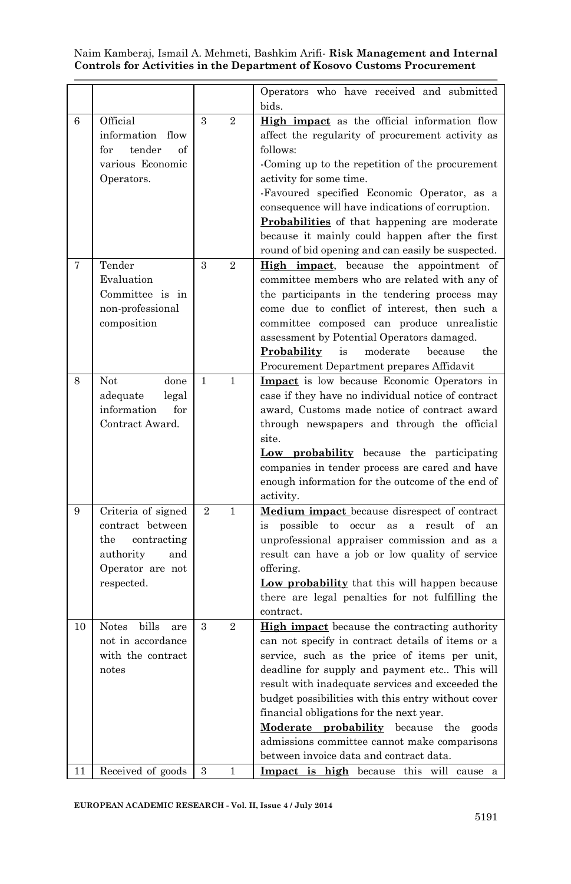|    |                                                                                                                    |                |                | Operators who have received and submitted<br>bids.                                                                                                                                                                                                                                                                                                                                                                                                                                                        |
|----|--------------------------------------------------------------------------------------------------------------------|----------------|----------------|-----------------------------------------------------------------------------------------------------------------------------------------------------------------------------------------------------------------------------------------------------------------------------------------------------------------------------------------------------------------------------------------------------------------------------------------------------------------------------------------------------------|
| 6  | Official<br>information flow<br>tender<br>for<br>of<br>various Economic<br>Operators.                              | 3              | $\overline{2}$ | High impact as the official information flow<br>affect the regularity of procurement activity as<br>follows:<br>-Coming up to the repetition of the procurement<br>activity for some time.<br>-Favoured specified Economic Operator, as a<br>consequence will have indications of corruption.<br>Probabilities of that happening are moderate<br>because it mainly could happen after the first<br>round of bid opening and can easily be suspected.                                                      |
| 7  | Tender<br>Evaluation<br>Committee is in<br>non-professional<br>composition                                         | 3              | $\overline{2}$ | High impact, because the appointment of<br>committee members who are related with any of<br>the participants in the tendering process may<br>come due to conflict of interest, then such a<br>committee composed can produce unrealistic<br>assessment by Potential Operators damaged.<br>moderate<br>because<br>the<br>Probability<br>is<br>Procurement Department prepares Affidavit                                                                                                                    |
| 8  | Not.<br>done<br>adequate<br>legal<br>information<br>for<br>Contract Award.                                         | 1              | 1              | Impact is low because Economic Operators in<br>case if they have no individual notice of contract<br>award, Customs made notice of contract award<br>through newspapers and through the official<br>site.<br>Low probability because the participating<br>companies in tender process are cared and have<br>enough information for the outcome of the end of<br>activity.                                                                                                                                 |
| 9  | Criteria of signed<br>contract between<br>contracting<br>the<br>authority<br>and<br>Operator are not<br>respected. | $\overline{2}$ | $\mathbf{1}$   | <b>Medium impact</b> because disrespect of contract<br>possible<br>to occur as<br>a result of<br>is<br>an<br>unprofessional appraiser commission and as a<br>result can have a job or low quality of service<br>offering.<br>Low probability that this will happen because<br>there are legal penalties for not fulfilling the<br>contract.                                                                                                                                                               |
| 10 | bills<br><b>Notes</b><br>are<br>not in accordance<br>with the contract<br>notes                                    | $\mathcal{S}$  | $\overline{2}$ | <b>High impact</b> because the contracting authority<br>can not specify in contract details of items or a<br>service, such as the price of items per unit,<br>deadline for supply and payment etc This will<br>result with inadequate services and exceeded the<br>budget possibilities with this entry without cover<br>financial obligations for the next year.<br>Moderate probability because the<br>goods<br>admissions committee cannot make comparisons<br>between invoice data and contract data. |
| 11 | Received of goods                                                                                                  | 3              | 1              | Impact is high because this will cause a                                                                                                                                                                                                                                                                                                                                                                                                                                                                  |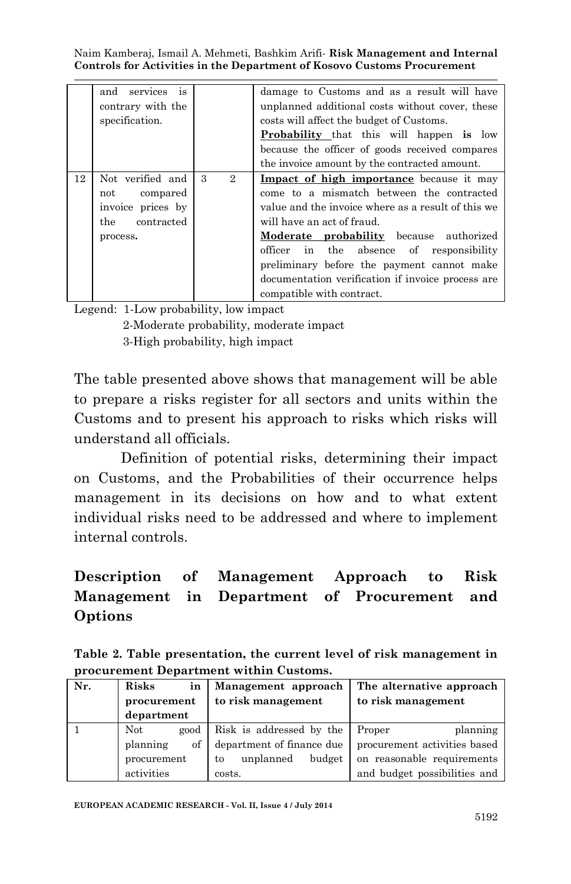|    | and services<br>is |                     | damage to Customs and as a result will have        |
|----|--------------------|---------------------|----------------------------------------------------|
|    | contrary with the  |                     | unplanned additional costs without cover, these    |
|    | specification.     |                     | costs will affect the budget of Customs.           |
|    |                    |                     | <b>Probability</b> that this will happen is low    |
|    |                    |                     | because the officer of goods received compares     |
|    |                    |                     | the invoice amount by the contracted amount.       |
| 12 | Not verified and   | 3<br>$\overline{2}$ | Impact of high importance because it may           |
|    | compared<br>not    |                     | come to a mismatch between the contracted          |
|    | invoice prices by  |                     | value and the invoice where as a result of this we |
|    | contracted<br>the. |                     | will have an act of fraud.                         |
|    | process.           |                     | <b>Moderate probability</b> because authorized     |
|    |                    |                     | the absence of responsibility<br>officer<br>in     |
|    |                    |                     | preliminary before the payment cannot make         |
|    |                    |                     | documentation verification if invoice process are  |
|    |                    |                     | compatible with contract.                          |

Legend: 1-Low probability, low impact

 2-Moderate probability, moderate impact 3-High probability, high impact

The table presented above shows that management will be able to prepare a risks register for all sectors and units within the Customs and to present his approach to risks which risks will understand all officials.

Definition of potential risks, determining their impact on Customs, and the Probabilities of their occurrence helps management in its decisions on how and to what extent individual risks need to be addressed and where to implement internal controls.

# **Description of Management Approach to Risk Management in Department of Procurement and Options**

| Table 2. Table presentation, the current level of risk management in |  |  |
|----------------------------------------------------------------------|--|--|
| procurement Department within Customs.                               |  |  |

| Nr. | Risks<br>in<br>procurement | Management approach<br>to risk management | The alternative approach<br>to risk management |
|-----|----------------------------|-------------------------------------------|------------------------------------------------|
|     | department                 |                                           |                                                |
|     | Not.<br>good               | Risk is addressed by the                  | planning<br>Proper                             |
|     | of<br>planning             | department of finance due                 | procurement activities based                   |
|     | procurement                | budget<br>unplanned<br>to                 | on reasonable requirements                     |
|     | activities                 | costs.                                    | and budget possibilities and                   |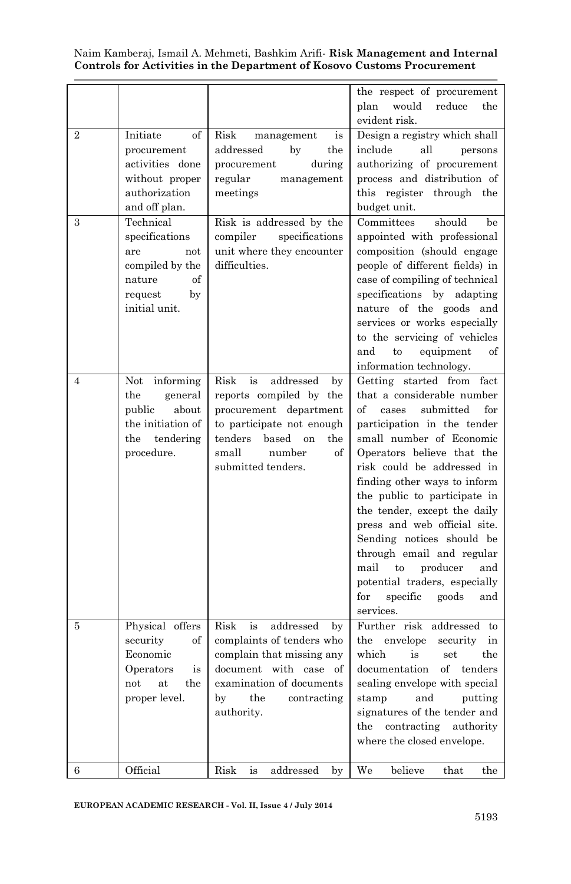|                |                                                                                                                |                                                                                                                                                                                              | the respect of procurement<br>plan<br>would<br>reduce<br>the<br>evident risk.                                                                                                                                                                                                                                                                                                                                                                                                                                                          |
|----------------|----------------------------------------------------------------------------------------------------------------|----------------------------------------------------------------------------------------------------------------------------------------------------------------------------------------------|----------------------------------------------------------------------------------------------------------------------------------------------------------------------------------------------------------------------------------------------------------------------------------------------------------------------------------------------------------------------------------------------------------------------------------------------------------------------------------------------------------------------------------------|
| $\overline{2}$ | of<br>Initiate<br>procurement<br>activities done<br>without proper<br>authorization<br>and off plan.           | Risk<br>management<br>is<br>addressed<br>by<br>the<br>during<br>procurement<br>regular<br>management<br>meetings                                                                             | Design a registry which shall<br>include<br>all<br>persons<br>authorizing of procurement<br>process and distribution of<br>this register through the<br>budget unit.                                                                                                                                                                                                                                                                                                                                                                   |
| 3              | Technical<br>specifications<br>are<br>not<br>compiled by the<br>of<br>nature<br>request<br>by<br>initial unit. | Risk is addressed by the<br>compiler<br>specifications<br>unit where they encounter<br>difficulties.                                                                                         | Committees<br>should<br>be<br>appointed with professional<br>composition (should engage<br>people of different fields) in<br>case of compiling of technical<br>specifications by adapting<br>nature of the goods and<br>services or works especially<br>to the servicing of vehicles<br>and<br>equipment<br>of<br>to<br>information technology.                                                                                                                                                                                        |
| 4              | informing<br>Not<br>the<br>general<br>public<br>about<br>the initiation of<br>the<br>tendering<br>procedure.   | Risk<br>addressed<br>is<br>by<br>reports compiled by the<br>procurement department<br>to participate not enough<br>tenders<br>based on<br>the<br>small<br>number<br>of<br>submitted tenders. | Getting started from fact<br>that a considerable number<br>submitted<br>of<br>for<br>cases<br>participation in the tender<br>small number of Economic<br>Operators believe that the<br>risk could be addressed in<br>finding other ways to inform<br>the public to participate in<br>the tender, except the daily<br>press and web official site.<br>Sending notices should be<br>through email and regular<br>mail<br>producer<br>to<br>and<br>potential traders, especially<br>$_{\rm for}$<br>specific<br>goods<br>and<br>services. |
| 5              | Physical offers<br>security<br>of<br>Economic<br>Operators<br>is<br>at<br>the<br>not<br>proper level.          | Risk<br>is<br>addressed<br>by<br>complaints of tenders who<br>complain that missing any<br>with case<br>document<br>of<br>examination of documents<br>by<br>the<br>contracting<br>authority. | Further risk addressed to<br>$_{\rm the}$<br>envelope<br>security<br>in<br>which<br>is<br>set<br>the<br>of<br>documentation<br>tenders<br>sealing envelope with special<br>and<br>putting<br>stamp<br>signatures of the tender and<br>$_{\rm the}$<br>contracting<br>authority<br>where the closed envelope.                                                                                                                                                                                                                           |
| 6              | Official                                                                                                       | Risk<br>is<br>addressed<br>by                                                                                                                                                                | We<br>believe<br>the<br>that                                                                                                                                                                                                                                                                                                                                                                                                                                                                                                           |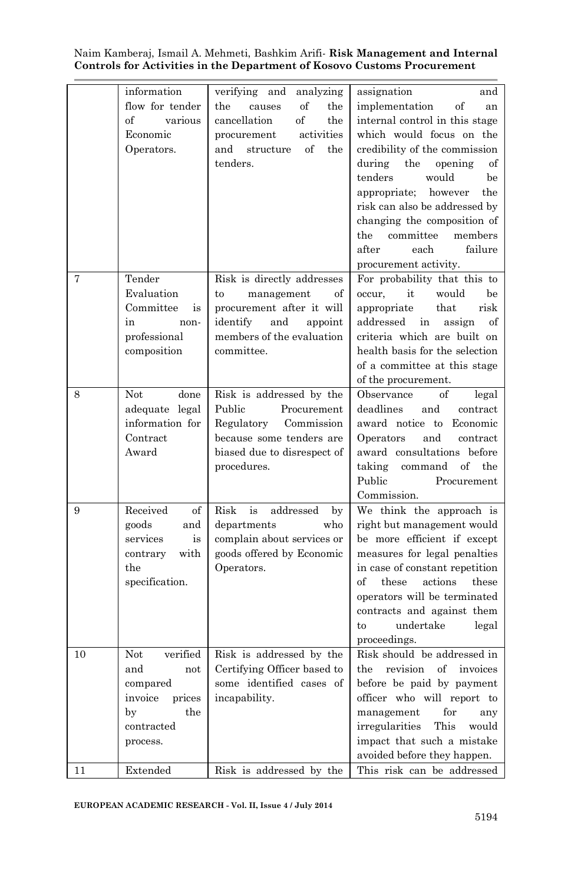|          | information<br>flow for tender<br>various<br>of<br>Economic<br>Operators.                                         | analyzing<br>verifying and<br>of<br>the<br>causes<br>the<br>cancellation<br>of<br>the<br>activities<br>procurement<br>of<br>the<br>and<br>structure<br>tenders. | assignation<br>and<br>implementation<br>of<br>an<br>internal control in this stage<br>which would focus on the<br>credibility of the commission<br>during<br>the<br>opening<br>of<br>would<br>tenders<br>be<br>the<br>appropriate;<br>however<br>risk can also be addressed by<br>changing the composition of<br>committee<br>members<br>the<br>after<br>failure<br>each |
|----------|-------------------------------------------------------------------------------------------------------------------|-----------------------------------------------------------------------------------------------------------------------------------------------------------------|--------------------------------------------------------------------------------------------------------------------------------------------------------------------------------------------------------------------------------------------------------------------------------------------------------------------------------------------------------------------------|
| 7        | Tender<br>Evaluation<br>Committee<br>is<br>in<br>non-<br>professional<br>composition                              | Risk is directly addresses<br>management<br>of<br>to<br>procurement after it will<br>identify<br>and<br>appoint<br>members of the evaluation<br>committee.      | procurement activity.<br>For probability that this to<br>occur,<br>it<br>would<br>be<br>appropriate<br>that<br>risk<br>addressed<br>in<br>assign<br>of<br>criteria which are built on<br>health basis for the selection<br>of a committee at this stage<br>of the procurement.                                                                                           |
| 8        | Not<br>done<br>adequate legal<br>information for<br>Contract<br>Award                                             | Risk is addressed by the<br>Public<br>Procurement<br>Regulatory<br>Commission<br>because some tenders are<br>biased due to disrespect of<br>procedures.         | Observance<br>of<br>legal<br>deadlines<br>and<br>contract<br>award notice to Economic<br>and<br>Operators<br>contract<br>award consultations before<br>taking<br>command<br>of<br>the<br>Public<br>Procurement<br>Commission.                                                                                                                                            |
| 9        | Received<br>of<br>goods<br>and<br>services<br>is<br>with<br>contrary<br>the<br>specification.                     | Risk<br>is<br>addressed<br>by<br>departments<br>who<br>complain about services or<br>goods offered by Economic<br>Operators.                                    | We think the approach is<br>right but management would<br>be more efficient if except<br>measures for legal penalties<br>in case of constant repetition<br>of<br>these<br>actions<br>these<br>operators will be terminated<br>contracts and against them<br>undertake<br>to<br>legal<br>proceedings.                                                                     |
| 10<br>11 | Not<br>verified<br>and<br>not<br>compared<br>invoice<br>prices<br>the<br>by<br>contracted<br>process.<br>Extended | Risk is addressed by the<br>Certifying Officer based to<br>some identified cases of<br>incapability.<br>Risk is addressed by the                                | Risk should be addressed in<br>revision<br>the<br>оf<br>invoices<br>before be paid by payment<br>officer who will report to<br>$_{\rm management}$<br>for<br>any<br>irregularities<br>This<br>would<br>impact that such a mistake<br>avoided before they happen.<br>This risk can be addressed                                                                           |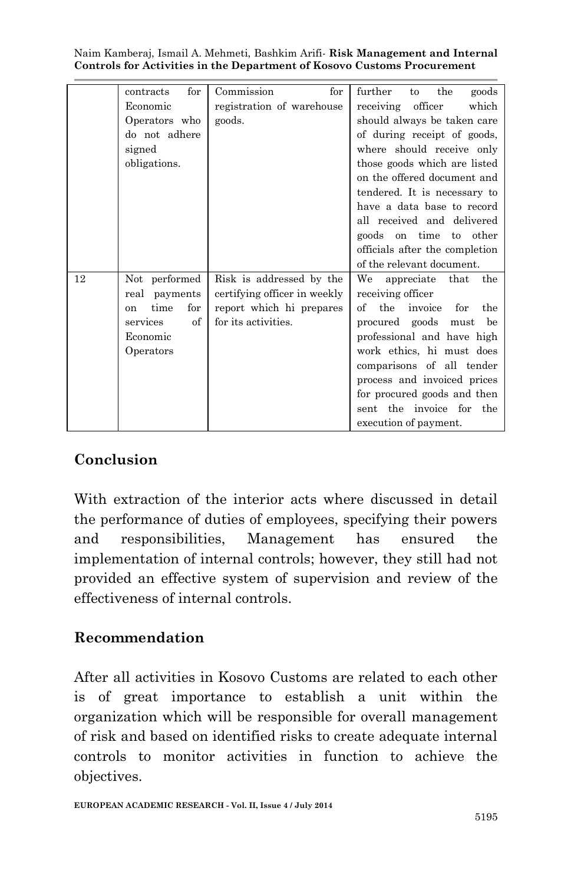|    | for<br>contracts             | Commission<br>for            | further<br>the<br>goods<br>to      |
|----|------------------------------|------------------------------|------------------------------------|
|    | Economic                     | registration of warehouse    | officer<br>which<br>receiving      |
|    | Operators who                | goods.                       | should always be taken care        |
|    | do not adhere                |                              | of during receipt of goods,        |
|    | signed                       |                              | where should receive only          |
|    | obligations.                 |                              | those goods which are listed       |
|    |                              |                              | on the offered document and        |
|    |                              |                              | tendered. It is necessary to       |
|    |                              |                              | have a data base to record         |
|    |                              |                              | all received and delivered         |
|    |                              |                              | goods on time to other             |
|    |                              |                              | officials after the completion     |
|    |                              |                              | of the relevant document.          |
| 12 | Not performed                | Risk is addressed by the     | We<br>appreciate that<br>the       |
|    | payments<br>real             | certifying officer in weekly | receiving officer                  |
|    | time<br>for<br><sub>on</sub> | report which hi prepares     | the<br>the<br>of<br>invoice<br>for |
|    | $\sigma$ f<br>services       | for its activities.          | procured goods<br>must<br>be       |
|    | Economic                     |                              | professional and have high         |
|    | Operators                    |                              | work ethics, hi must does          |
|    |                              |                              | comparisons of all tender          |
|    |                              |                              | process and invoiced prices        |
|    |                              |                              | for procured goods and then        |
|    |                              |                              | the invoice for the<br>sent        |
|    |                              |                              | execution of payment.              |

## **Conclusion**

With extraction of the interior acts where discussed in detail the performance of duties of employees, specifying their powers and responsibilities, Management has ensured the implementation of internal controls; however, they still had not provided an effective system of supervision and review of the effectiveness of internal controls.

## **Recommendation**

After all activities in Kosovo Customs are related to each other is of great importance to establish a unit within the organization which will be responsible for overall management of risk and based on identified risks to create adequate internal controls to monitor activities in function to achieve the objectives.